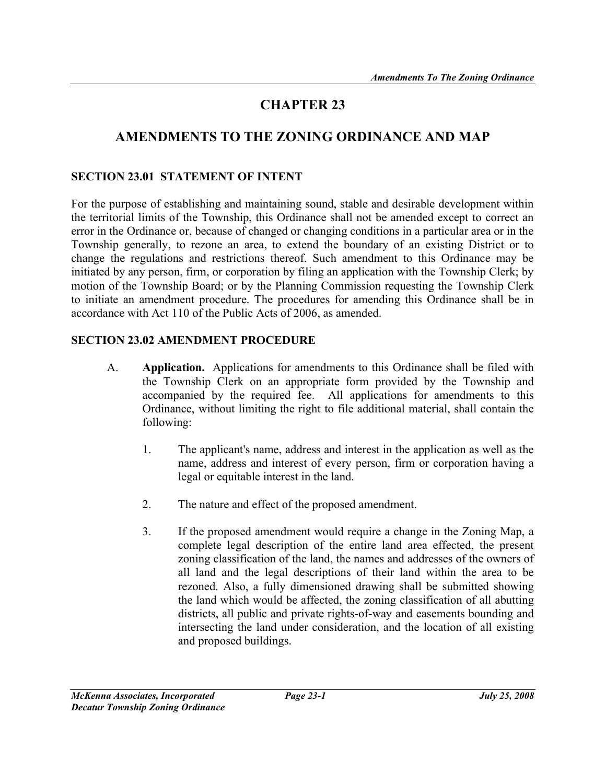# CHAPTER 23

## AMENDMENTS TO THE ZONING ORDINANCE AND MAP

#### SECTION 23.01 STATEMENT OF INTENT

For the purpose of establishing and maintaining sound, stable and desirable development within the territorial limits of the Township, this Ordinance shall not be amended except to correct an error in the Ordinance or, because of changed or changing conditions in a particular area or in the Township generally, to rezone an area, to extend the boundary of an existing District or to change the regulations and restrictions thereof. Such amendment to this Ordinance may be initiated by any person, firm, or corporation by filing an application with the Township Clerk; by motion of the Township Board; or by the Planning Commission requesting the Township Clerk to initiate an amendment procedure. The procedures for amending this Ordinance shall be in accordance with Act 110 of the Public Acts of 2006, as amended.

#### SECTION 23.02 AMENDMENT PROCEDURE

- A. Application. Applications for amendments to this Ordinance shall be filed with the Township Clerk on an appropriate form provided by the Township and accompanied by the required fee. All applications for amendments to this Ordinance, without limiting the right to file additional material, shall contain the following:
	- 1. The applicant's name, address and interest in the application as well as the name, address and interest of every person, firm or corporation having a legal or equitable interest in the land.
	- 2. The nature and effect of the proposed amendment.
	- 3. If the proposed amendment would require a change in the Zoning Map, a complete legal description of the entire land area effected, the present zoning classification of the land, the names and addresses of the owners of all land and the legal descriptions of their land within the area to be rezoned. Also, a fully dimensioned drawing shall be submitted showing the land which would be affected, the zoning classification of all abutting districts, all public and private rights-of-way and easements bounding and intersecting the land under consideration, and the location of all existing and proposed buildings.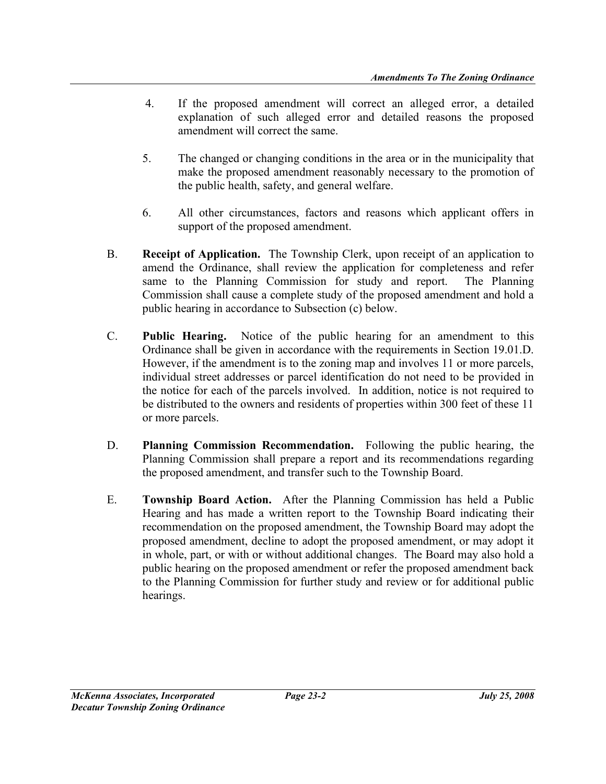- 4. If the proposed amendment will correct an alleged error, a detailed explanation of such alleged error and detailed reasons the proposed amendment will correct the same.
- 5. The changed or changing conditions in the area or in the municipality that make the proposed amendment reasonably necessary to the promotion of the public health, safety, and general welfare.
- 6. All other circumstances, factors and reasons which applicant offers in support of the proposed amendment.
- B. Receipt of Application. The Township Clerk, upon receipt of an application to amend the Ordinance, shall review the application for completeness and refer same to the Planning Commission for study and report. The Planning Commission shall cause a complete study of the proposed amendment and hold a public hearing in accordance to Subsection (c) below.
- C. Public Hearing. Notice of the public hearing for an amendment to this Ordinance shall be given in accordance with the requirements in Section 19.01.D. However, if the amendment is to the zoning map and involves 11 or more parcels, individual street addresses or parcel identification do not need to be provided in the notice for each of the parcels involved. In addition, notice is not required to be distributed to the owners and residents of properties within 300 feet of these 11 or more parcels.
- D. Planning Commission Recommendation. Following the public hearing, the Planning Commission shall prepare a report and its recommendations regarding the proposed amendment, and transfer such to the Township Board.
- E. Township Board Action. After the Planning Commission has held a Public Hearing and has made a written report to the Township Board indicating their recommendation on the proposed amendment, the Township Board may adopt the proposed amendment, decline to adopt the proposed amendment, or may adopt it in whole, part, or with or without additional changes. The Board may also hold a public hearing on the proposed amendment or refer the proposed amendment back to the Planning Commission for further study and review or for additional public hearings.